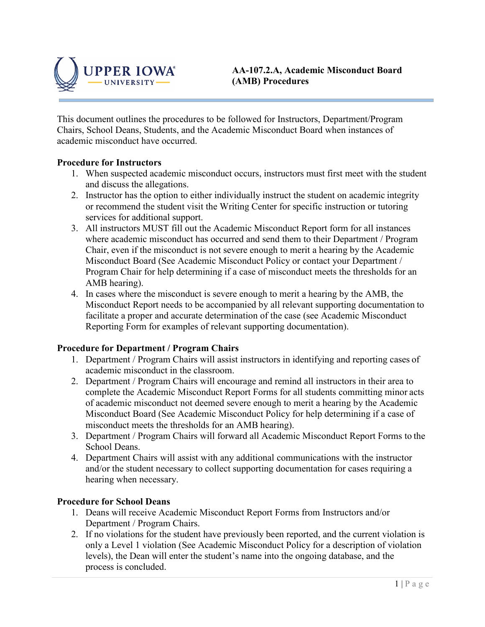

This document outlines the procedures to be followed for Instructors, Department/Program Chairs, School Deans, Students, and the Academic Misconduct Board when instances of academic misconduct have occurred.

### **Procedure for Instructors**

- 1. When suspected academic misconduct occurs, instructors must first meet with the student and discuss the allegations.
- 2. Instructor has the option to either individually instruct the student on academic integrity or recommend the student visit the Writing Center for specific instruction or tutoring services for additional support.
- 3. All instructors MUST fill out the Academic Misconduct Report form for all instances where academic misconduct has occurred and send them to their Department / Program Chair, even if the misconduct is not severe enough to merit a hearing by the Academic Misconduct Board (See Academic Misconduct Policy or contact your Department / Program Chair for help determining if a case of misconduct meets the thresholds for an AMB hearing).
- 4. In cases where the misconduct is severe enough to merit a hearing by the AMB, the Misconduct Report needs to be accompanied by all relevant supporting documentation to facilitate a proper and accurate determination of the case (see Academic Misconduct Reporting Form for examples of relevant supporting documentation).

### **Procedure for Department / Program Chairs**

- 1. Department / Program Chairs will assist instructors in identifying and reporting cases of academic misconduct in the classroom.
- 2. Department / Program Chairs will encourage and remind all instructors in their area to complete the Academic Misconduct Report Forms for all students committing minor acts of academic misconduct not deemed severe enough to merit a hearing by the Academic Misconduct Board (See Academic Misconduct Policy for help determining if a case of misconduct meets the thresholds for an AMB hearing).
- 3. Department / Program Chairs will forward all Academic Misconduct Report Forms to the School Deans.
- 4. Department Chairs will assist with any additional communications with the instructor and/or the student necessary to collect supporting documentation for cases requiring a hearing when necessary.

#### **Procedure for School Deans**

- 1. Deans will receive Academic Misconduct Report Forms from Instructors and/or Department / Program Chairs.
- 2. If no violations for the student have previously been reported, and the current violation is only a Level 1 violation (See Academic Misconduct Policy for a description of violation levels), the Dean will enter the student's name into the ongoing database, and the process is concluded.